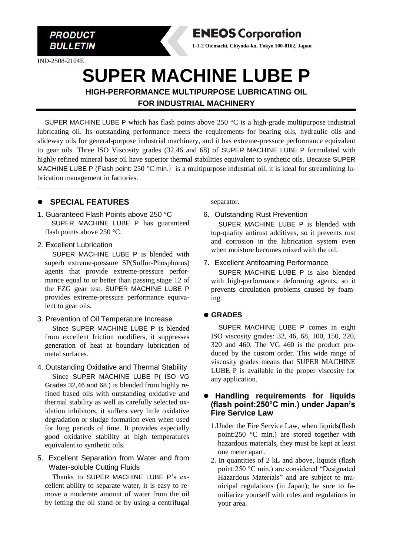

IND-2508-2104E

## **ENEOS Corporation**

**1-1-2 Otemachi, Chiyoda-ku, Tokyo 100-8162, Japan**

# **SUPER MACHINE LUBE P**

**HIGH-PERFORMANCE MULTIPURPOSE LUBRICATING OIL FOR INDUSTRIAL MACHINERY**

SUPER MACHINE LUBE P which has flash points above 250  $^{\circ}$ C is a high-grade multipurpose industrial lubricating oil. Its outstanding performance meets the requirements for bearing oils, hydraulic oils and slideway oils for general-purpose industrial machinery, and it has extreme-pressure performance equivalent to gear oils. Three ISO Viscosity grades (32,46 and 68) of SUPER MACHINE LUBE P formulated with highly refined mineral base oil have superior thermal stabilities equivalent to synthetic oils. Because SUPER MACHINE LUBE P (Flash point: 250 °C min.) is a multipurpose industrial oil, it is ideal for streamlining lubrication management in factories.

#### ⚫ **SPECIAL FEATURES**

- 1. Guaranteed Flash Points above 250 °C SUPER MACHINE LUBE P has guaranteed flash points above 250 °C.
- 2. Excellent Lubrication

SUPER MACHINE LUBE P is blended with superb extreme-pressure SP(Sulfur-Phosphorus) agents that provide extreme-pressure performance equal to or better than passing stage 12 of the FZG gear test. SUPER MACHINE LUBE P provides extreme-pressure performance equivalent to gear oils.

3. Prevention of Oil Temperature Increase

Since SUPER MACHINE LUBE P is blended from excellent friction modifiers, it suppresses generation of heat at boundary lubrication of metal surfaces.

- 4. Outstanding Oxidative and Thermal Stability Since SUPER MACHINE LUBE P( ISO VG Grades 32,46 and 68 ) is blended from highly refined based oils with outstanding oxidative and thermal stability as well as carefully selected oxidation inhibitors, it suffers very little oxidative degradation or sludge formation even when used for long periods of time. It provides especially good oxidative stability at high temperatures equivalent to synthetic oils.
- 5. Excellent Separation from Water and from Water-soluble Cutting Fluids

Thanks to SUPER MACHINE LUBE P's excellent ability to separate water, it is easy to remove a moderate amount of water from the oil by letting the oil stand or by using a centrifugal

separator.

6. Outstanding Rust Prevention

SUPER MACHINE LUBE P is blended with top-quality antirust additives, so it prevents rust and corrosion in the lubrication system even when moisture becomes mixed with the oil.

7. Excellent Antifoaming Performance SUPER MACHINE LUBE P is also blended with high-performance deforming agents, so it prevents circulation problems caused by foaming.

#### ⚫ **GRADES**

SUPER MACHINE LUBE P comes in eight ISO viscosity grades: 32, 46, 68, 100, 150, 220, 320 and 460. The VG 460 is the product produced by the custom order. This wide range of viscosity grades means that SUPER MACHINE LUBE P is available in the proper viscosity for any application.

#### ⚫ **Handling requirements for liquids (flash point:250°C min.) under Japan's Fire Service Law**

- 1.Under the Fire Service Law, when liquids(flash point:250 °C min.) are stored together with hazardous materials, they must be kept at least one meter apart.
- 2. In quantities of 2 kL and above, liquids (flash point:250 °C min.) are considered "Designated Hazardous Materials" and are subject to municipal regulations (in Japan); be sure to familiarize yourself with rules and regulations in your area.